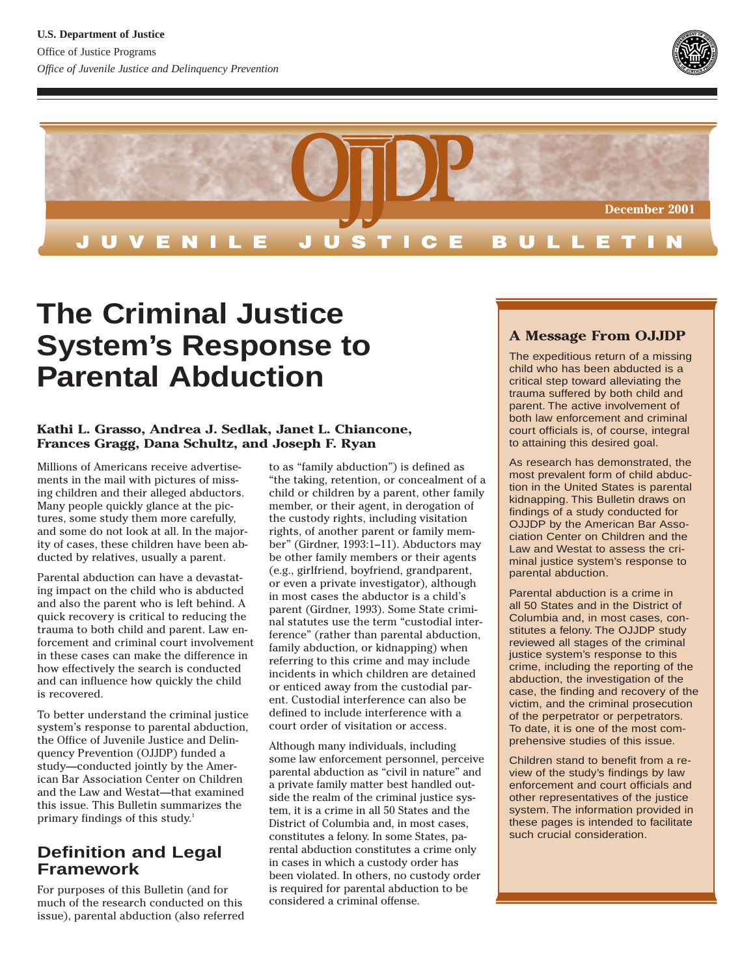



# **The Criminal Justice System's Response to Parental Abduction**

#### **Kathi L. Grasso, Andrea J. Sedlak, Janet L. Chiancone, Frances Gragg, Dana Schultz, and Joseph F. Ryan**

Millions of Americans receive advertisements in the mail with pictures of missing children and their alleged abductors. Many people quickly glance at the pictures, some study them more carefully, and some do not look at all. In the majority of cases, these children have been abducted by relatives, usually a parent.

Parental abduction can have a devastating impact on the child who is abducted and also the parent who is left behind. A quick recovery is critical to reducing the trauma to both child and parent. Law enforcement and criminal court involvement in these cases can make the difference in how effectively the search is conducted and can influence how quickly the child is recovered.

To better understand the criminal justice system's response to parental abduction, the Office of Juvenile Justice and Delinquency Prevention (OJJDP) funded a study—conducted jointly by the American Bar Association Center on Children and the Law and Westat—that examined this issue. This Bulletin summarizes the primary findings of this study.<sup>1</sup>

# **Definition and Legal Framework**

For purposes of this Bulletin (and for much of the research conducted on this issue), parental abduction (also referred to as "family abduction") is defined as "the taking, retention, or concealment of a child or children by a parent, other family member, or their agent, in derogation of the custody rights, including visitation rights, of another parent or family member" (Girdner, 1993:1–11). Abductors may be other family members or their agents (e.g., girlfriend, boyfriend, grandparent, or even a private investigator), although in most cases the abductor is a child's parent (Girdner, 1993). Some State criminal statutes use the term "custodial interference" (rather than parental abduction, family abduction, or kidnapping) when referring to this crime and may include incidents in which children are detained or enticed away from the custodial parent. Custodial interference can also be defined to include interference with a court order of visitation or access.

Although many individuals, including some law enforcement personnel, perceive parental abduction as "civil in nature" and a private family matter best handled outside the realm of the criminal justice system, it is a crime in all 50 States and the District of Columbia and, in most cases, constitutes a felony. In some States, parental abduction constitutes a crime only in cases in which a custody order has been violated. In others, no custody order is required for parental abduction to be considered a criminal offense.

# **A Message From OJJDP**

The expeditious return of a missing child who has been abducted is a critical step toward alleviating the trauma suffered by both child and parent. The active involvement of both law enforcement and criminal court officials is, of course, integral to attaining this desired goal.

As research has demonstrated, the most prevalent form of child abduction in the United States is parental kidnapping. This Bulletin draws on findings of a study conducted for OJJDP by the American Bar Association Center on Children and the Law and Westat to assess the criminal justice system's response to parental abduction.

Parental abduction is a crime in all 50 States and in the District of Columbia and, in most cases, constitutes a felony. The OJJDP study reviewed all stages of the criminal justice system's response to this crime, including the reporting of the abduction, the investigation of the case, the finding and recovery of the victim, and the criminal prosecution of the perpetrator or perpetrators. To date, it is one of the most comprehensive studies of this issue.

Children stand to benefit from a review of the study's findings by law enforcement and court officials and other representatives of the justice system. The information provided in these pages is intended to facilitate such crucial consideration.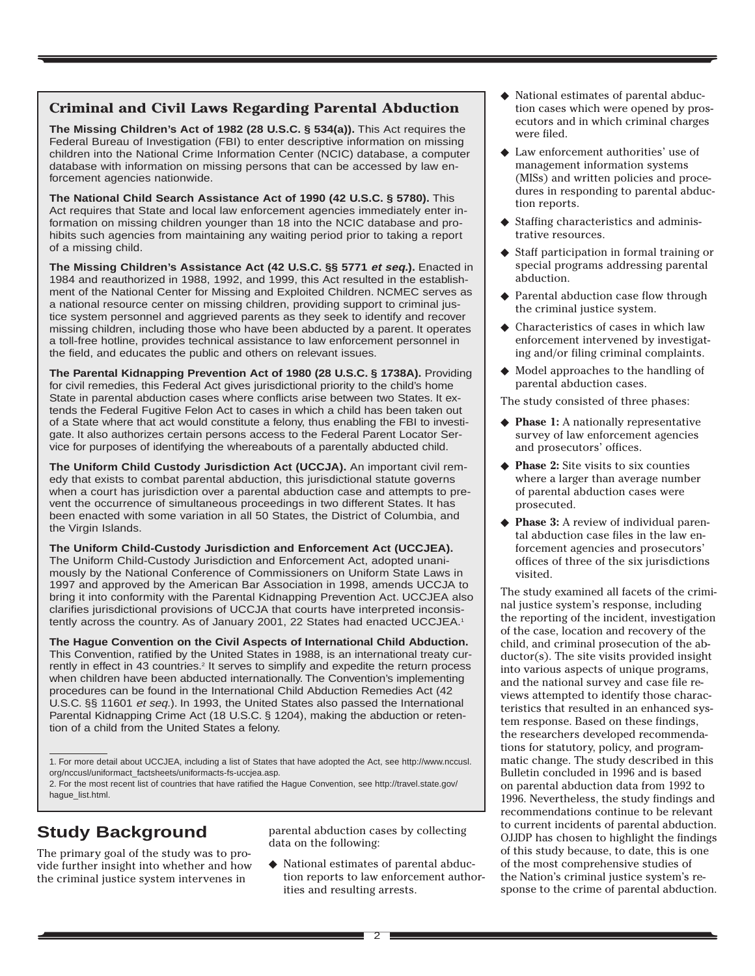## **Criminal and Civil Laws Regarding Parental Abduction**

**The Missing Children's Act of 1982 (28 U.S.C. § 534(a)).** This Act requires the Federal Bureau of Investigation (FBI) to enter descriptive information on missing children into the National Crime Information Center (NCIC) database, a computer database with information on missing persons that can be accessed by law enforcement agencies nationwide.

**The National Child Search Assistance Act of 1990 (42 U.S.C. § 5780).** This Act requires that State and local law enforcement agencies immediately enter information on missing children younger than 18 into the NCIC database and prohibits such agencies from maintaining any waiting period prior to taking a report of a missing child.

**The Missing Children's Assistance Act (42 U.S.C. §§ 5771 et seq.).** Enacted in 1984 and reauthorized in 1988, 1992, and 1999, this Act resulted in the establishment of the National Center for Missing and Exploited Children. NCMEC serves as a national resource center on missing children, providing support to criminal justice system personnel and aggrieved parents as they seek to identify and recover missing children, including those who have been abducted by a parent. It operates a toll-free hotline, provides technical assistance to law enforcement personnel in the field, and educates the public and others on relevant issues.

**The Parental Kidnapping Prevention Act of 1980 (28 U.S.C. § 1738A).** Providing for civil remedies, this Federal Act gives jurisdictional priority to the child's home State in parental abduction cases where conflicts arise between two States. It extends the Federal Fugitive Felon Act to cases in which a child has been taken out of a State where that act would constitute a felony, thus enabling the FBI to investigate. It also authorizes certain persons access to the Federal Parent Locator Service for purposes of identifying the whereabouts of a parentally abducted child.

**The Uniform Child Custody Jurisdiction Act (UCCJA).** An important civil remedy that exists to combat parental abduction, this jurisdictional statute governs when a court has jurisdiction over a parental abduction case and attempts to prevent the occurrence of simultaneous proceedings in two different States. It has been enacted with some variation in all 50 States, the District of Columbia, and the Virgin Islands.

**The Uniform Child-Custody Jurisdiction and Enforcement Act (UCCJEA).** The Uniform Child-Custody Jurisdiction and Enforcement Act, adopted unanimously by the National Conference of Commissioners on Uniform State Laws in 1997 and approved by the American Bar Association in 1998, amends UCCJA to bring it into conformity with the Parental Kidnapping Prevention Act. UCCJEA also clarifies jurisdictional provisions of UCCJA that courts have interpreted inconsistently across the country. As of January 2001, 22 States had enacted UCCJEA.<sup>1</sup>

**The Hague Convention on the Civil Aspects of International Child Abduction.** This Convention, ratified by the United States in 1988, is an international treaty currently in effect in 43 countries.<sup>2</sup> It serves to simplify and expedite the return process when children have been abducted internationally. The Convention's implementing procedures can be found in the International Child Abduction Remedies Act (42 U.S.C. §§ 11601 et seq.). In 1993, the United States also passed the International Parental Kidnapping Crime Act (18 U.S.C. § 1204), making the abduction or retention of a child from the United States a felony.

2. For the most recent list of countries that have ratified the Hague Convention, see http://travel.state.gov/ hague\_list.html.

# **Study Background**

The primary goal of the study was to provide further insight into whether and how the criminal justice system intervenes in

parental abduction cases by collecting data on the following:

◆ National estimates of parental abduction reports to law enforcement authorities and resulting arrests.

- ◆ National estimates of parental abduction cases which were opened by prosecutors and in which criminal charges were filed.
- Law enforcement authorities' use of management information systems (MISs) and written policies and procedures in responding to parental abduction reports.
- ◆ Staffing characteristics and administrative resources.
- ◆ Staff participation in formal training or special programs addressing parental abduction.
- Parental abduction case flow through the criminal justice system.
- Characteristics of cases in which law enforcement intervened by investigating and/or filing criminal complaints.
- ◆ Model approaches to the handling of parental abduction cases.

The study consisted of three phases:

- ◆ **Phase 1:** A nationally representative survey of law enforcement agencies and prosecutors' offices.
- **Phase 2:** Site visits to six counties where a larger than average number of parental abduction cases were prosecuted.
- ◆ **Phase 3:** A review of individual parental abduction case files in the law enforcement agencies and prosecutors' offices of three of the six jurisdictions visited.

The study examined all facets of the criminal justice system's response, including the reporting of the incident, investigation of the case, location and recovery of the child, and criminal prosecution of the abductor(s). The site visits provided insight into various aspects of unique programs, and the national survey and case file reviews attempted to identify those characteristics that resulted in an enhanced system response. Based on these findings, the researchers developed recommendations for statutory, policy, and programmatic change. The study described in this Bulletin concluded in 1996 and is based on parental abduction data from 1992 to 1996. Nevertheless, the study findings and recommendations continue to be relevant to current incidents of parental abduction. OJJDP has chosen to highlight the findings of this study because, to date, this is one of the most comprehensive studies of the Nation's criminal justice system's response to the crime of parental abduction.

<sup>1.</sup> For more detail about UCCJEA, including a list of States that have adopted the Act, see http://www.nccusl. org/nccusl/uniformact\_factsheets/uniformacts-fs-uccjea.asp.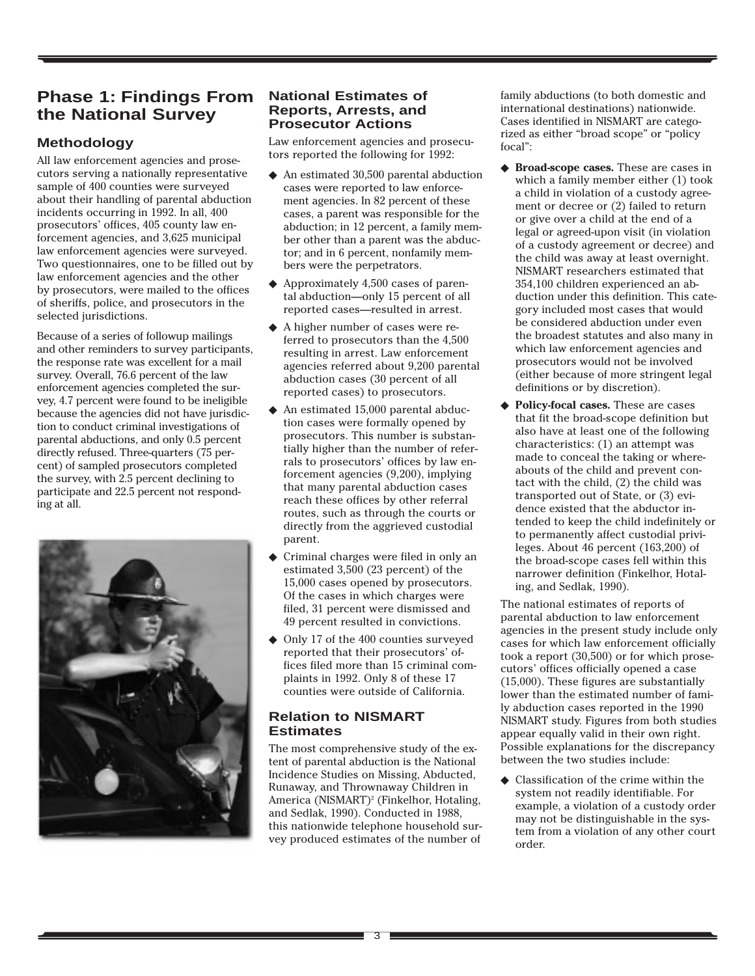# **Phase 1: Findings From the National Survey**

# **Methodology**

All law enforcement agencies and prosecutors serving a nationally representative sample of 400 counties were surveyed about their handling of parental abduction incidents occurring in 1992. In all, 400 prosecutors' offices, 405 county law enforcement agencies, and 3,625 municipal law enforcement agencies were surveyed. Two questionnaires, one to be filled out by law enforcement agencies and the other by prosecutors, were mailed to the offices of sheriffs, police, and prosecutors in the selected jurisdictions.

Because of a series of followup mailings and other reminders to survey participants, the response rate was excellent for a mail survey. Overall, 76.6 percent of the law enforcement agencies completed the survey, 4.7 percent were found to be ineligible because the agencies did not have jurisdiction to conduct criminal investigations of parental abductions, and only 0.5 percent directly refused. Three-quarters (75 percent) of sampled prosecutors completed the survey, with 2.5 percent declining to participate and 22.5 percent not responding at all.



### **National Estimates of Reports, Arrests, and Prosecutor Actions**

Law enforcement agencies and prosecutors reported the following for 1992:

- ◆ An estimated 30,500 parental abduction cases were reported to law enforcement agencies. In 82 percent of these cases, a parent was responsible for the abduction; in 12 percent, a family member other than a parent was the abductor; and in 6 percent, nonfamily members were the perpetrators.
- ◆ Approximately 4,500 cases of parental abduction—only 15 percent of all reported cases—resulted in arrest.
- ◆ A higher number of cases were referred to prosecutors than the 4,500 resulting in arrest. Law enforcement agencies referred about 9,200 parental abduction cases (30 percent of all reported cases) to prosecutors.
- ◆ An estimated 15,000 parental abduction cases were formally opened by prosecutors. This number is substantially higher than the number of referrals to prosecutors' offices by law enforcement agencies (9,200), implying that many parental abduction cases reach these offices by other referral routes, such as through the courts or directly from the aggrieved custodial parent.
- Criminal charges were filed in only an estimated 3,500 (23 percent) of the 15,000 cases opened by prosecutors. Of the cases in which charges were filed, 31 percent were dismissed and 49 percent resulted in convictions.
- ◆ Only 17 of the 400 counties surveyed reported that their prosecutors' offices filed more than 15 criminal complaints in 1992. Only 8 of these 17 counties were outside of California.

#### **Relation to NISMART Estimates**

The most comprehensive study of the extent of parental abduction is the National Incidence Studies on Missing, Abducted, Runaway, and Thrownaway Children in America (NISMART)<sup>2</sup> (Finkelhor, Hotaling, and Sedlak, 1990). Conducted in 1988, this nationwide telephone household survey produced estimates of the number of

family abductions (to both domestic and international destinations) nationwide. Cases identified in NISMART are categorized as either "broad scope" or "policy focal":

- ◆ **Broad-scope cases.** These are cases in which a family member either (1) took a child in violation of a custody agreement or decree or (2) failed to return or give over a child at the end of a legal or agreed-upon visit (in violation of a custody agreement or decree) and the child was away at least overnight. NISMART researchers estimated that 354,100 children experienced an abduction under this definition. This category included most cases that would be considered abduction under even the broadest statutes and also many in which law enforcement agencies and prosecutors would not be involved (either because of more stringent legal definitions or by discretion).
- ◆ **Policy-focal cases.** These are cases that fit the broad-scope definition but also have at least one of the following characteristics: (1) an attempt was made to conceal the taking or whereabouts of the child and prevent contact with the child, (2) the child was transported out of State, or (3) evidence existed that the abductor intended to keep the child indefinitely or to permanently affect custodial privileges. About 46 percent (163,200) of the broad-scope cases fell within this narrower definition (Finkelhor, Hotaling, and Sedlak, 1990).

The national estimates of reports of parental abduction to law enforcement agencies in the present study include only cases for which law enforcement officially took a report (30,500) or for which prosecutors' offices officially opened a case (15,000). These figures are substantially lower than the estimated number of family abduction cases reported in the 1990 NISMART study. Figures from both studies appear equally valid in their own right. Possible explanations for the discrepancy between the two studies include:

Classification of the crime within the system not readily identifiable. For example, a violation of a custody order may not be distinguishable in the system from a violation of any other court order.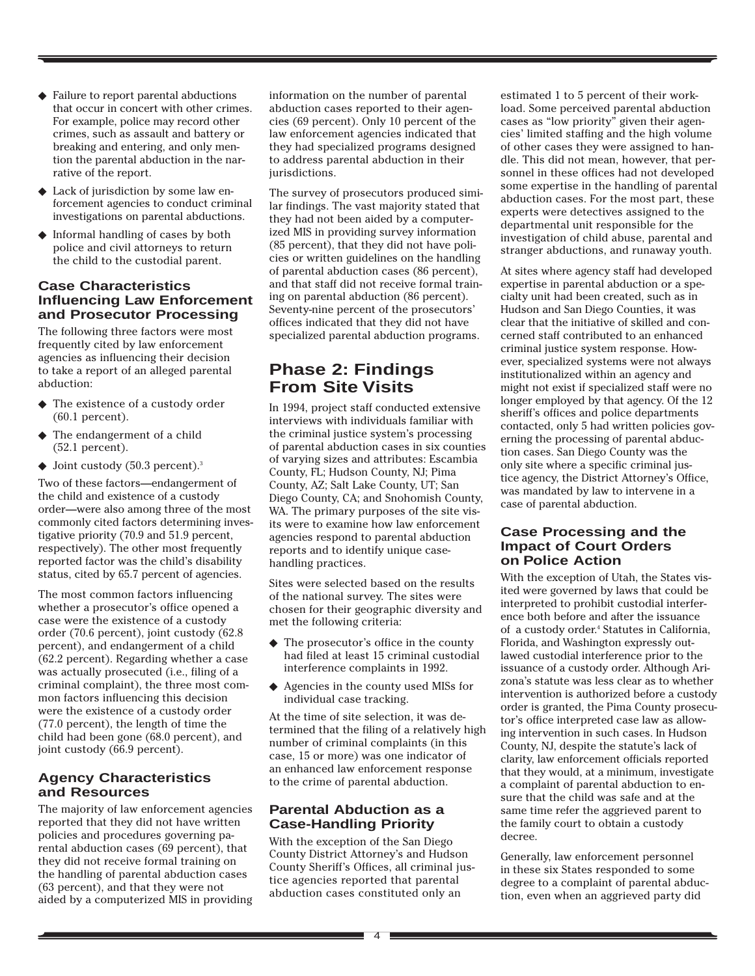- ◆ Failure to report parental abductions that occur in concert with other crimes. For example, police may record other crimes, such as assault and battery or breaking and entering, and only mention the parental abduction in the narrative of the report.
- ◆ Lack of jurisdiction by some law enforcement agencies to conduct criminal investigations on parental abductions.
- ◆ Informal handling of cases by both police and civil attorneys to return the child to the custodial parent.

#### **Case Characteristics Influencing Law Enforcement and Prosecutor Processing**

The following three factors were most frequently cited by law enforcement agencies as influencing their decision to take a report of an alleged parental abduction:

- ◆ The existence of a custody order (60.1 percent).
- ◆ The endangerment of a child (52.1 percent).
- $\blacklozenge$  Joint custody (50.3 percent).<sup>3</sup>

Two of these factors—endangerment of the child and existence of a custody order—were also among three of the most commonly cited factors determining investigative priority (70.9 and 51.9 percent, respectively). The other most frequently reported factor was the child's disability status, cited by 65.7 percent of agencies.

The most common factors influencing whether a prosecutor's office opened a case were the existence of a custody order (70.6 percent), joint custody (62.8 percent), and endangerment of a child (62.2 percent). Regarding whether a case was actually prosecuted (i.e., filing of a criminal complaint), the three most common factors influencing this decision were the existence of a custody order (77.0 percent), the length of time the child had been gone (68.0 percent), and joint custody (66.9 percent).

# **Agency Characteristics and Resources**

The majority of law enforcement agencies reported that they did not have written policies and procedures governing parental abduction cases (69 percent), that they did not receive formal training on the handling of parental abduction cases (63 percent), and that they were not aided by a computerized MIS in providing information on the number of parental abduction cases reported to their agencies (69 percent). Only 10 percent of the law enforcement agencies indicated that they had specialized programs designed to address parental abduction in their jurisdictions.

The survey of prosecutors produced similar findings. The vast majority stated that they had not been aided by a computerized MIS in providing survey information (85 percent), that they did not have policies or written guidelines on the handling of parental abduction cases (86 percent), and that staff did not receive formal training on parental abduction (86 percent). Seventy-nine percent of the prosecutors' offices indicated that they did not have specialized parental abduction programs.

# **Phase 2: Findings From Site Visits**

In 1994, project staff conducted extensive interviews with individuals familiar with the criminal justice system's processing of parental abduction cases in six counties of varying sizes and attributes: Escambia County, FL; Hudson County, NJ; Pima County, AZ; Salt Lake County, UT; San Diego County, CA; and Snohomish County, WA. The primary purposes of the site visits were to examine how law enforcement agencies respond to parental abduction reports and to identify unique casehandling practices.

Sites were selected based on the results of the national survey. The sites were chosen for their geographic diversity and met the following criteria:

- ◆ The prosecutor's office in the county had filed at least 15 criminal custodial interference complaints in 1992.
- ◆ Agencies in the county used MISs for individual case tracking.

At the time of site selection, it was determined that the filing of a relatively high number of criminal complaints (in this case, 15 or more) was one indicator of an enhanced law enforcement response to the crime of parental abduction.

## **Parental Abduction as a Case-Handling Priority**

With the exception of the San Diego County District Attorney's and Hudson County Sheriff's Offices, all criminal justice agencies reported that parental abduction cases constituted only an

estimated 1 to 5 percent of their workload. Some perceived parental abduction cases as "low priority" given their agencies' limited staffing and the high volume of other cases they were assigned to handle. This did not mean, however, that personnel in these offices had not developed some expertise in the handling of parental abduction cases. For the most part, these experts were detectives assigned to the departmental unit responsible for the investigation of child abuse, parental and stranger abductions, and runaway youth.

At sites where agency staff had developed expertise in parental abduction or a specialty unit had been created, such as in Hudson and San Diego Counties, it was clear that the initiative of skilled and concerned staff contributed to an enhanced criminal justice system response. However, specialized systems were not always institutionalized within an agency and might not exist if specialized staff were no longer employed by that agency. Of the 12 sheriff's offices and police departments contacted, only 5 had written policies governing the processing of parental abduction cases. San Diego County was the only site where a specific criminal justice agency, the District Attorney's Office, was mandated by law to intervene in a case of parental abduction.

#### **Case Processing and the Impact of Court Orders on Police Action**

With the exception of Utah, the States visited were governed by laws that could be interpreted to prohibit custodial interference both before and after the issuance of a custody order.4 Statutes in California, Florida, and Washington expressly outlawed custodial interference prior to the issuance of a custody order. Although Arizona's statute was less clear as to whether intervention is authorized before a custody order is granted, the Pima County prosecutor's office interpreted case law as allowing intervention in such cases. In Hudson County, NJ, despite the statute's lack of clarity, law enforcement officials reported that they would, at a minimum, investigate a complaint of parental abduction to ensure that the child was safe and at the same time refer the aggrieved parent to the family court to obtain a custody decree.

Generally, law enforcement personnel in these six States responded to some degree to a complaint of parental abduction, even when an aggrieved party did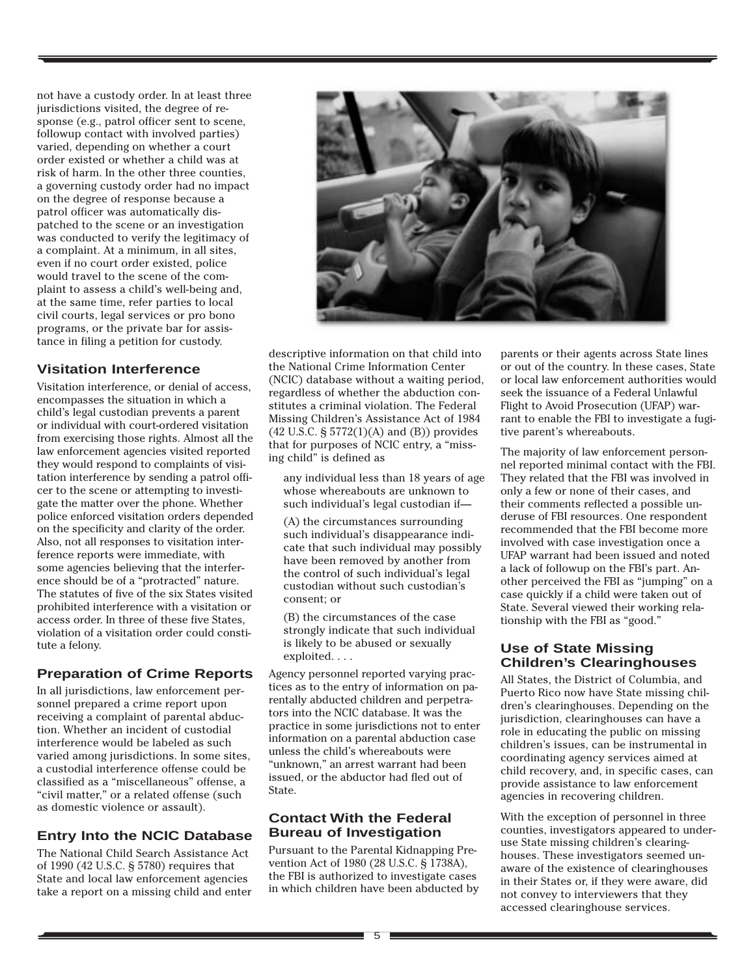not have a custody order. In at least three jurisdictions visited, the degree of response (e.g., patrol officer sent to scene, followup contact with involved parties) varied, depending on whether a court order existed or whether a child was at risk of harm. In the other three counties, a governing custody order had no impact on the degree of response because a patrol officer was automatically dispatched to the scene or an investigation was conducted to verify the legitimacy of a complaint. At a minimum, in all sites, even if no court order existed, police would travel to the scene of the complaint to assess a child's well-being and, at the same time, refer parties to local civil courts, legal services or pro bono programs, or the private bar for assistance in filing a petition for custody.

# **Visitation Interference**

Visitation interference, or denial of access, encompasses the situation in which a child's legal custodian prevents a parent or individual with court-ordered visitation from exercising those rights. Almost all the law enforcement agencies visited reported they would respond to complaints of visitation interference by sending a patrol officer to the scene or attempting to investigate the matter over the phone. Whether police enforced visitation orders depended on the specificity and clarity of the order. Also, not all responses to visitation interference reports were immediate, with some agencies believing that the interference should be of a "protracted" nature. The statutes of five of the six States visited prohibited interference with a visitation or access order. In three of these five States, violation of a visitation order could constitute a felony.

#### **Preparation of Crime Reports**

In all jurisdictions, law enforcement personnel prepared a crime report upon receiving a complaint of parental abduction. Whether an incident of custodial interference would be labeled as such varied among jurisdictions. In some sites, a custodial interference offense could be classified as a "miscellaneous" offense, a "civil matter," or a related offense (such as domestic violence or assault).

#### **Entry Into the NCIC Database**

The National Child Search Assistance Act of 1990 (42 U.S.C. § 5780) requires that State and local law enforcement agencies take a report on a missing child and enter



descriptive information on that child into the National Crime Information Center (NCIC) database without a waiting period, regardless of whether the abduction constitutes a criminal violation. The Federal Missing Children's Assistance Act of 1984 (42 U.S.C. § 5772(1)(A) and (B)) provides that for purposes of NCIC entry, a "missing child" is defined as

any individual less than 18 years of age whose whereabouts are unknown to such individual's legal custodian if—

(A) the circumstances surrounding such individual's disappearance indicate that such individual may possibly have been removed by another from the control of such individual's legal custodian without such custodian's consent; or

(B) the circumstances of the case strongly indicate that such individual is likely to be abused or sexually exploited. . . .

Agency personnel reported varying practices as to the entry of information on parentally abducted children and perpetrators into the NCIC database. It was the practice in some jurisdictions not to enter information on a parental abduction case unless the child's whereabouts were "unknown," an arrest warrant had been issued, or the abductor had fled out of State.

#### **Contact With the Federal Bureau of Investigation**

Pursuant to the Parental Kidnapping Prevention Act of 1980 (28 U.S.C. § 1738A), the FBI is authorized to investigate cases in which children have been abducted by parents or their agents across State lines or out of the country. In these cases, State or local law enforcement authorities would seek the issuance of a Federal Unlawful Flight to Avoid Prosecution (UFAP) warrant to enable the FBI to investigate a fugitive parent's whereabouts.

The majority of law enforcement personnel reported minimal contact with the FBI. They related that the FBI was involved in only a few or none of their cases, and their comments reflected a possible underuse of FBI resources. One respondent recommended that the FBI become more involved with case investigation once a UFAP warrant had been issued and noted a lack of followup on the FBI's part. Another perceived the FBI as "jumping" on a case quickly if a child were taken out of State. Several viewed their working relationship with the FBI as "good."

#### **Use of State Missing Children's Clearinghouses**

All States, the District of Columbia, and Puerto Rico now have State missing children's clearinghouses. Depending on the jurisdiction, clearinghouses can have a role in educating the public on missing children's issues, can be instrumental in coordinating agency services aimed at child recovery, and, in specific cases, can provide assistance to law enforcement agencies in recovering children.

With the exception of personnel in three counties, investigators appeared to underuse State missing children's clearinghouses. These investigators seemed unaware of the existence of clearinghouses in their States or, if they were aware, did not convey to interviewers that they accessed clearinghouse services.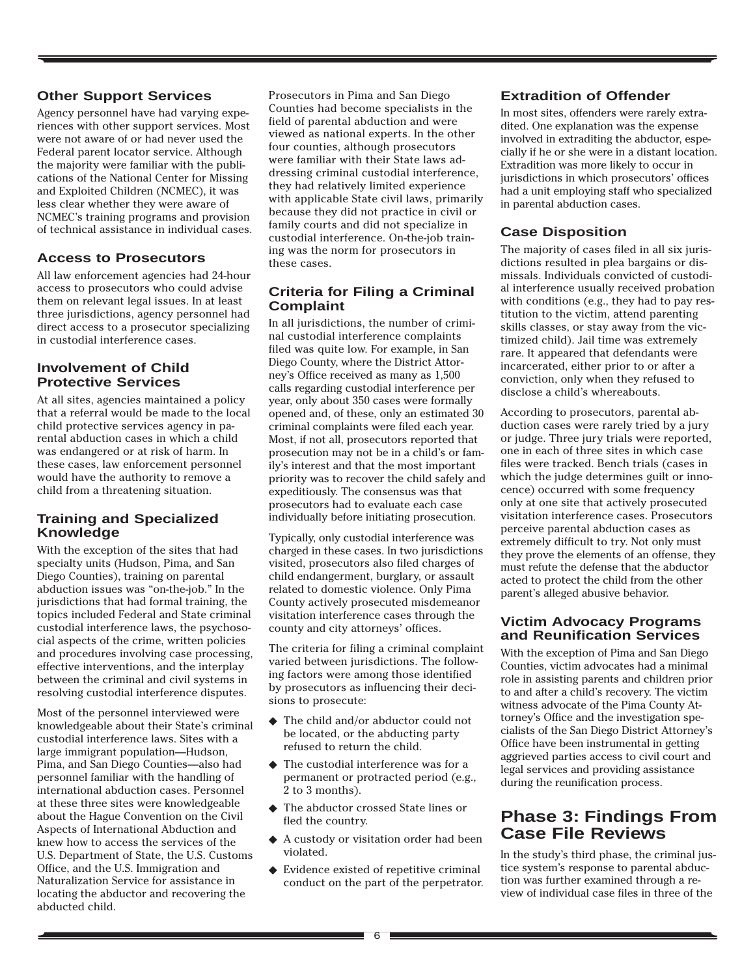#### **Other Support Services**

Agency personnel have had varying experiences with other support services. Most were not aware of or had never used the Federal parent locator service. Although the majority were familiar with the publications of the National Center for Missing and Exploited Children (NCMEC), it was less clear whether they were aware of NCMEC's training programs and provision of technical assistance in individual cases.

# **Access to Prosecutors**

All law enforcement agencies had 24-hour access to prosecutors who could advise them on relevant legal issues. In at least three jurisdictions, agency personnel had direct access to a prosecutor specializing in custodial interference cases.

## **Involvement of Child Protective Services**

At all sites, agencies maintained a policy that a referral would be made to the local child protective services agency in parental abduction cases in which a child was endangered or at risk of harm. In these cases, law enforcement personnel would have the authority to remove a child from a threatening situation.

## **Training and Specialized Knowledge**

With the exception of the sites that had specialty units (Hudson, Pima, and San Diego Counties), training on parental abduction issues was "on-the-job." In the jurisdictions that had formal training, the topics included Federal and State criminal custodial interference laws, the psychosocial aspects of the crime, written policies and procedures involving case processing, effective interventions, and the interplay between the criminal and civil systems in resolving custodial interference disputes.

Most of the personnel interviewed were knowledgeable about their State's criminal custodial interference laws. Sites with a large immigrant population—Hudson, Pima, and San Diego Counties—also had personnel familiar with the handling of international abduction cases. Personnel at these three sites were knowledgeable about the Hague Convention on the Civil Aspects of International Abduction and knew how to access the services of the U.S. Department of State, the U.S. Customs Office, and the U.S. Immigration and Naturalization Service for assistance in locating the abductor and recovering the abducted child.

Prosecutors in Pima and San Diego Counties had become specialists in the field of parental abduction and were viewed as national experts. In the other four counties, although prosecutors were familiar with their State laws addressing criminal custodial interference, they had relatively limited experience with applicable State civil laws, primarily because they did not practice in civil or family courts and did not specialize in custodial interference. On-the-job training was the norm for prosecutors in these cases.

# **Criteria for Filing a Criminal Complaint**

In all jurisdictions, the number of criminal custodial interference complaints filed was quite low. For example, in San Diego County, where the District Attorney's Office received as many as 1,500 calls regarding custodial interference per year, only about 350 cases were formally opened and, of these, only an estimated 30 criminal complaints were filed each year. Most, if not all, prosecutors reported that prosecution may not be in a child's or family's interest and that the most important priority was to recover the child safely and expeditiously. The consensus was that prosecutors had to evaluate each case individually before initiating prosecution.

Typically, only custodial interference was charged in these cases. In two jurisdictions visited, prosecutors also filed charges of child endangerment, burglary, or assault related to domestic violence. Only Pima County actively prosecuted misdemeanor visitation interference cases through the county and city attorneys' offices.

The criteria for filing a criminal complaint varied between jurisdictions. The following factors were among those identified by prosecutors as influencing their decisions to prosecute:

- ◆ The child and/or abductor could not be located, or the abducting party refused to return the child.
- ◆ The custodial interference was for a permanent or protracted period (e.g., 2 to 3 months).
- ◆ The abductor crossed State lines or fled the country.
- ◆ A custody or visitation order had been violated.
- ◆ Evidence existed of repetitive criminal conduct on the part of the perpetrator.

# **Extradition of Offender**

In most sites, offenders were rarely extradited. One explanation was the expense involved in extraditing the abductor, especially if he or she were in a distant location. Extradition was more likely to occur in jurisdictions in which prosecutors' offices had a unit employing staff who specialized in parental abduction cases.

# **Case Disposition**

The majority of cases filed in all six jurisdictions resulted in plea bargains or dismissals. Individuals convicted of custodial interference usually received probation with conditions (e.g., they had to pay restitution to the victim, attend parenting skills classes, or stay away from the victimized child). Jail time was extremely rare. It appeared that defendants were incarcerated, either prior to or after a conviction, only when they refused to disclose a child's whereabouts.

According to prosecutors, parental abduction cases were rarely tried by a jury or judge. Three jury trials were reported, one in each of three sites in which case files were tracked. Bench trials (cases in which the judge determines guilt or innocence) occurred with some frequency only at one site that actively prosecuted visitation interference cases. Prosecutors perceive parental abduction cases as extremely difficult to try. Not only must they prove the elements of an offense, they must refute the defense that the abductor acted to protect the child from the other parent's alleged abusive behavior.

## **Victim Advocacy Programs and Reunification Services**

With the exception of Pima and San Diego Counties, victim advocates had a minimal role in assisting parents and children prior to and after a child's recovery. The victim witness advocate of the Pima County Attorney's Office and the investigation specialists of the San Diego District Attorney's Office have been instrumental in getting aggrieved parties access to civil court and legal services and providing assistance during the reunification process.

# **Phase 3: Findings From Case File Reviews**

In the study's third phase, the criminal justice system's response to parental abduction was further examined through a review of individual case files in three of the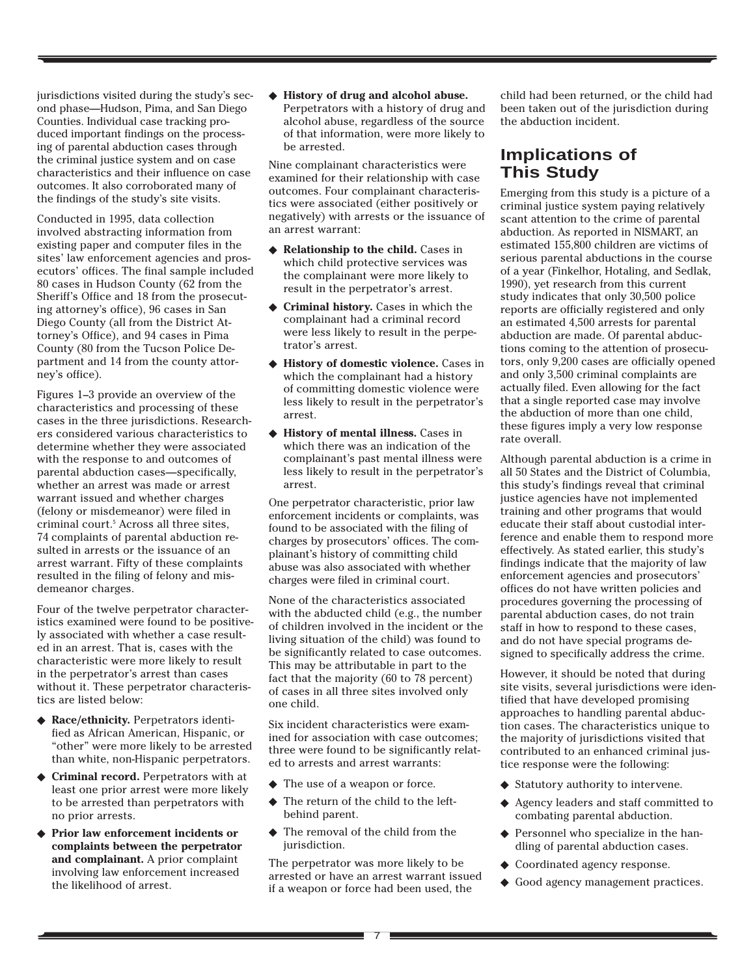jurisdictions visited during the study's second phase—Hudson, Pima, and San Diego Counties. Individual case tracking produced important findings on the processing of parental abduction cases through the criminal justice system and on case characteristics and their influence on case outcomes. It also corroborated many of the findings of the study's site visits.

Conducted in 1995, data collection involved abstracting information from existing paper and computer files in the sites' law enforcement agencies and prosecutors' offices. The final sample included 80 cases in Hudson County (62 from the Sheriff's Office and 18 from the prosecuting attorney's office), 96 cases in San Diego County (all from the District Attorney's Office), and 94 cases in Pima County (80 from the Tucson Police Department and 14 from the county attorney's office).

Figures 1–3 provide an overview of the characteristics and processing of these cases in the three jurisdictions. Researchers considered various characteristics to determine whether they were associated with the response to and outcomes of parental abduction cases—specifically, whether an arrest was made or arrest warrant issued and whether charges (felony or misdemeanor) were filed in criminal court.5 Across all three sites, 74 complaints of parental abduction resulted in arrests or the issuance of an arrest warrant. Fifty of these complaints resulted in the filing of felony and misdemeanor charges.

Four of the twelve perpetrator characteristics examined were found to be positively associated with whether a case resulted in an arrest. That is, cases with the characteristic were more likely to result in the perpetrator's arrest than cases without it. These perpetrator characteristics are listed below:

- ◆ **Race/ethnicity.** Perpetrators identified as African American, Hispanic, or "other" were more likely to be arrested than white, non-Hispanic perpetrators.
- ◆ **Criminal record.** Perpetrators with at least one prior arrest were more likely to be arrested than perpetrators with no prior arrests.
- ◆ **Prior law enforcement incidents or complaints between the perpetrator and complainant.** A prior complaint involving law enforcement increased the likelihood of arrest.

◆ **History of drug and alcohol abuse.** Perpetrators with a history of drug and alcohol abuse, regardless of the source of that information, were more likely to be arrested.

Nine complainant characteristics were examined for their relationship with case outcomes. Four complainant characteristics were associated (either positively or negatively) with arrests or the issuance of an arrest warrant:

- ◆ **Relationship to the child.** Cases in which child protective services was the complainant were more likely to result in the perpetrator's arrest.
- ◆ **Criminal history.** Cases in which the complainant had a criminal record were less likely to result in the perpetrator's arrest.
- ◆ **History of domestic violence.** Cases in which the complainant had a history of committing domestic violence were less likely to result in the perpetrator's arrest.
- ◆ **History of mental illness.** Cases in which there was an indication of the complainant's past mental illness were less likely to result in the perpetrator's arrest.

One perpetrator characteristic, prior law enforcement incidents or complaints, was found to be associated with the filing of charges by prosecutors' offices. The complainant's history of committing child abuse was also associated with whether charges were filed in criminal court.

None of the characteristics associated with the abducted child (e.g., the number of children involved in the incident or the living situation of the child) was found to be significantly related to case outcomes. This may be attributable in part to the fact that the majority (60 to 78 percent) of cases in all three sites involved only one child.

Six incident characteristics were examined for association with case outcomes; three were found to be significantly related to arrests and arrest warrants:

- ◆ The use of a weapon or force.
- ◆ The return of the child to the leftbehind parent.
- ◆ The removal of the child from the jurisdiction.

The perpetrator was more likely to be arrested or have an arrest warrant issued if a weapon or force had been used, the

child had been returned, or the child had been taken out of the jurisdiction during the abduction incident.

# **Implications of This Study**

Emerging from this study is a picture of a criminal justice system paying relatively scant attention to the crime of parental abduction. As reported in NISMART, an estimated 155,800 children are victims of serious parental abductions in the course of a year (Finkelhor, Hotaling, and Sedlak, 1990), yet research from this current study indicates that only 30,500 police reports are officially registered and only an estimated 4,500 arrests for parental abduction are made. Of parental abductions coming to the attention of prosecutors, only 9,200 cases are officially opened and only 3,500 criminal complaints are actually filed. Even allowing for the fact that a single reported case may involve the abduction of more than one child, these figures imply a very low response rate overall.

Although parental abduction is a crime in all 50 States and the District of Columbia, this study's findings reveal that criminal justice agencies have not implemented training and other programs that would educate their staff about custodial interference and enable them to respond more effectively. As stated earlier, this study's findings indicate that the majority of law enforcement agencies and prosecutors' offices do not have written policies and procedures governing the processing of parental abduction cases, do not train staff in how to respond to these cases, and do not have special programs designed to specifically address the crime.

However, it should be noted that during site visits, several jurisdictions were identified that have developed promising approaches to handling parental abduction cases. The characteristics unique to the majority of jurisdictions visited that contributed to an enhanced criminal justice response were the following:

- ◆ Statutory authority to intervene.
- ◆ Agency leaders and staff committed to combating parental abduction.
- ◆ Personnel who specialize in the handling of parental abduction cases.
- ◆ Coordinated agency response.
- ◆ Good agency management practices.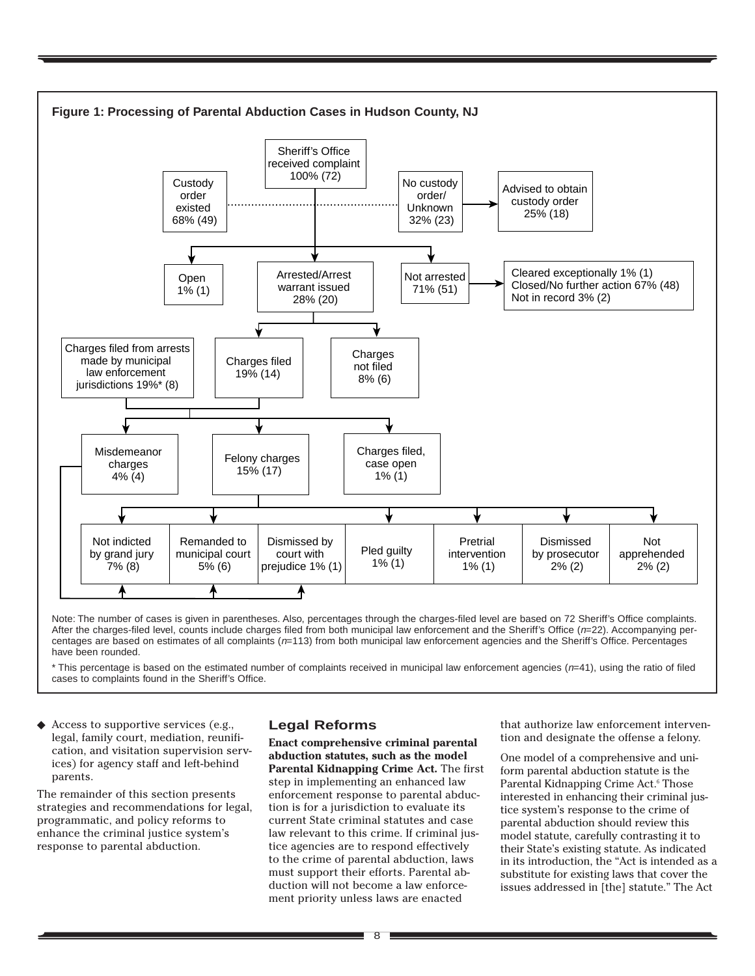

Note: The number of cases is given in parentheses. Also, percentages through the charges-filed level are based on 72 Sheriff's Office complaints. After the charges-filed level, counts include charges filed from both municipal law enforcement and the Sheriff's Office (n=22). Accompanying percentages are based on estimates of all complaints  $(n=113)$  from both municipal law enforcement agencies and the Sheriff's Office. Percentages have been rounded.

 $*$  This percentage is based on the estimated number of complaints received in municipal law enforcement agencies ( $n=41$ ), using the ratio of filed cases to complaints found in the Sheriff's Office.

Access to supportive services (e.g., legal, family court, mediation, reunification, and visitation supervision services) for agency staff and left-behind parents.

The remainder of this section presents strategies and recommendations for legal, programmatic, and policy reforms to enhance the criminal justice system's response to parental abduction.

#### **Legal Reforms**

**Enact comprehensive criminal parental abduction statutes, such as the model Parental Kidnapping Crime Act.** The first step in implementing an enhanced law enforcement response to parental abduction is for a jurisdiction to evaluate its current State criminal statutes and case law relevant to this crime. If criminal justice agencies are to respond effectively to the crime of parental abduction, laws must support their efforts. Parental abduction will not become a law enforcement priority unless laws are enacted

that authorize law enforcement intervention and designate the offense a felony.

One model of a comprehensive and uniform parental abduction statute is the Parental Kidnapping Crime Act.<sup>6</sup> Those interested in enhancing their criminal justice system's response to the crime of parental abduction should review this model statute, carefully contrasting it to their State's existing statute. As indicated in its introduction, the "Act is intended as a substitute for existing laws that cover the issues addressed in [the] statute." The Act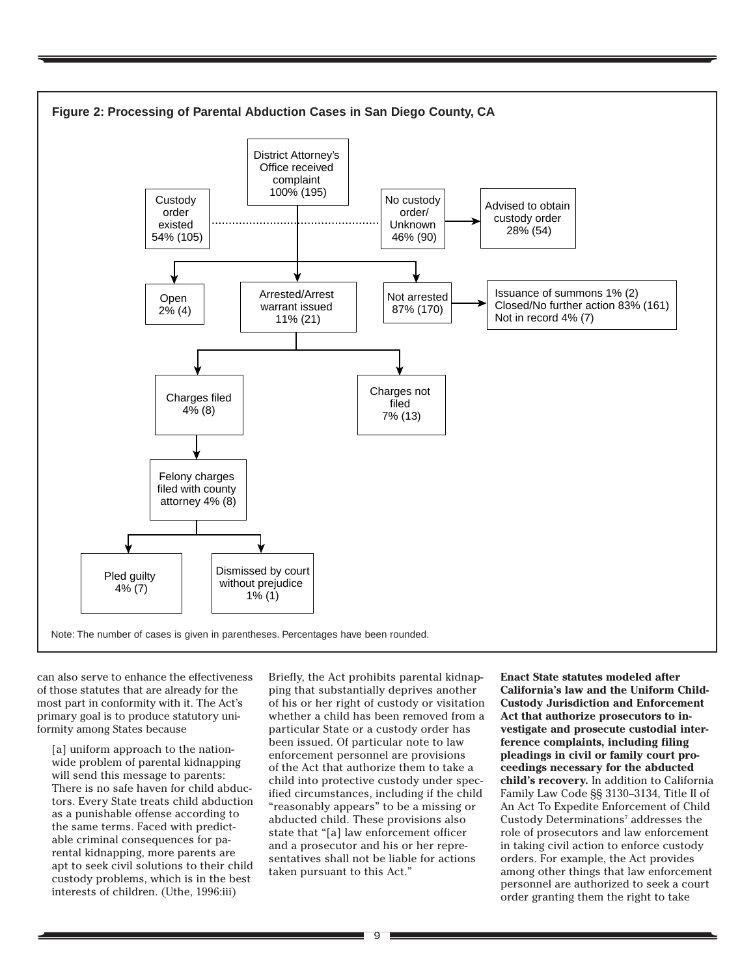

can also serve to enhance the effectiveness of those statutes that are already for the most part in conformity with it. The Act's primary goal is to produce statutory uniformity among States because

[a] uniform approach to the nationwide problem of parental kidnapping will send this message to parents: There is no safe haven for child abductors. Every State treats child abduction as a punishable offense according to the same terms. Faced with predictable criminal consequences for parental kidnapping, more parents are apt to seek civil solutions to their child custody problems, which is in the best interests of children. (Uthe, 1996:iii)

Briefly, the Act prohibits parental kidnapping that substantially deprives another of his or her right of custody or visitation whether a child has been removed from a particular State or a custody order has been issued. Of particular note to law enforcement personnel are provisions of the Act that authorize them to take a child into protective custody under specified circumstances, including if the child "reasonably appears" to be a missing or abducted child. These provisions also state that "[a] law enforcement officer and a prosecutor and his or her representatives shall not be liable for actions taken pursuant to this Act."

**Enact State statutes modeled after California's law and the Uniform Child-Custody Jurisdiction and Enforcement Act that authorize prosecutors to investigate and prosecute custodial interference complaints, including filing pleadings in civil or family court proceedings necessary for the abducted child's recovery.** In addition to California Family Law Code §§ 3130–3134, Title II of An Act To Expedite Enforcement of Child Custody Determinations<sup>7</sup> addresses the role of prosecutors and law enforcement in taking civil action to enforce custody orders. For example, the Act provides among other things that law enforcement personnel are authorized to seek a court order granting them the right to take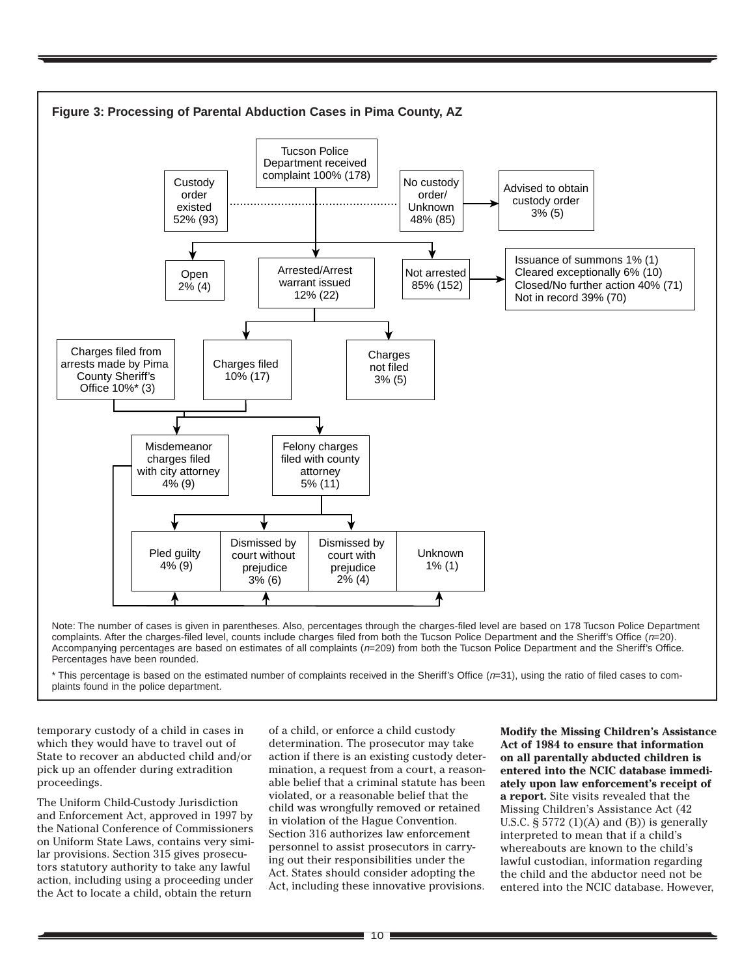

complaints. After the charges-filed level, counts include charges filed from both the Tucson Police Department and the Sheriff's Office (n=20). Accompanying percentages are based on estimates of all complaints (n=209) from both the Tucson Police Department and the Sheriff's Office. Percentages have been rounded.

\* This percentage is based on the estimated number of complaints received in the Sheriff's Office (n=31), using the ratio of filed cases to complaints found in the police department.

temporary custody of a child in cases in which they would have to travel out of State to recover an abducted child and/or pick up an offender during extradition proceedings.

The Uniform Child-Custody Jurisdiction and Enforcement Act, approved in 1997 by the National Conference of Commissioners on Uniform State Laws, contains very similar provisions. Section 315 gives prosecutors statutory authority to take any lawful action, including using a proceeding under the Act to locate a child, obtain the return

of a child, or enforce a child custody determination. The prosecutor may take action if there is an existing custody determination, a request from a court, a reasonable belief that a criminal statute has been violated, or a reasonable belief that the child was wrongfully removed or retained in violation of the Hague Convention. Section 316 authorizes law enforcement personnel to assist prosecutors in carrying out their responsibilities under the Act. States should consider adopting the Act, including these innovative provisions.

**Modify the Missing Children's Assistance Act of 1984 to ensure that information on all parentally abducted children is entered into the NCIC database immediately upon law enforcement's receipt of a report.** Site visits revealed that the Missing Children's Assistance Act (42 U.S.C.  $\S 5772 (1)(A)$  and  $(B)$ ) is generally interpreted to mean that if a child's whereabouts are known to the child's lawful custodian, information regarding the child and the abductor need not be entered into the NCIC database. However,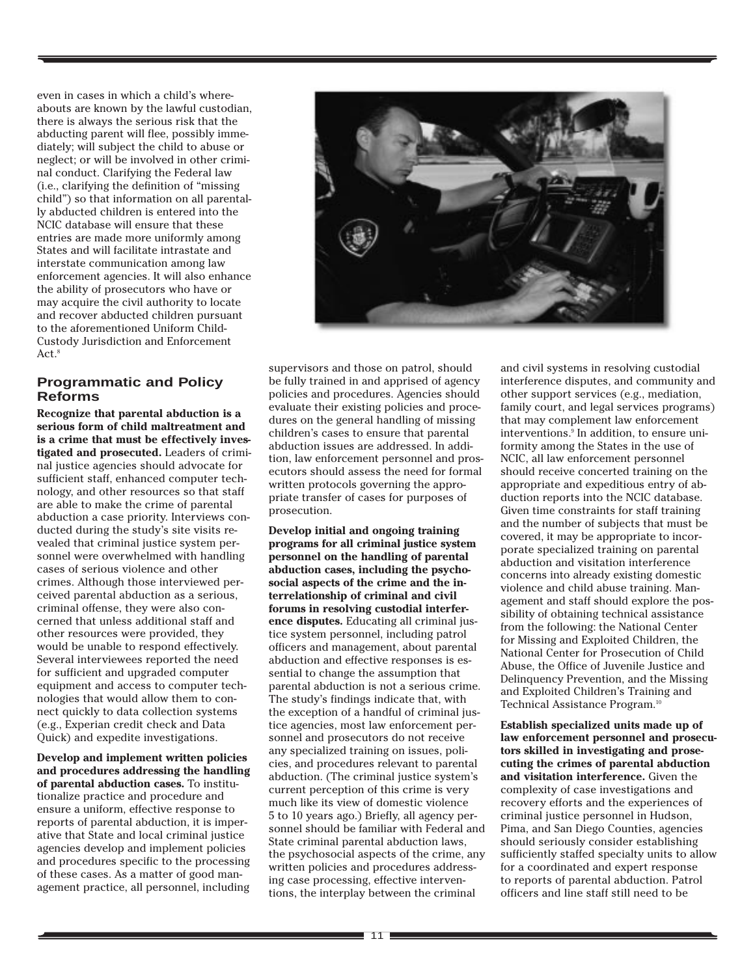even in cases in which a child's whereabouts are known by the lawful custodian, there is always the serious risk that the abducting parent will flee, possibly immediately; will subject the child to abuse or neglect; or will be involved in other criminal conduct. Clarifying the Federal law (i.e., clarifying the definition of "missing child") so that information on all parentally abducted children is entered into the NCIC database will ensure that these entries are made more uniformly among States and will facilitate intrastate and interstate communication among law enforcement agencies. It will also enhance the ability of prosecutors who have or may acquire the civil authority to locate and recover abducted children pursuant to the aforementioned Uniform Child-Custody Jurisdiction and Enforcement Act. $8$ 

#### **Programmatic and Policy Reforms**

**Recognize that parental abduction is a serious form of child maltreatment and is a crime that must be effectively investigated and prosecuted.** Leaders of criminal justice agencies should advocate for sufficient staff, enhanced computer technology, and other resources so that staff are able to make the crime of parental abduction a case priority. Interviews conducted during the study's site visits revealed that criminal justice system personnel were overwhelmed with handling cases of serious violence and other crimes. Although those interviewed perceived parental abduction as a serious, criminal offense, they were also concerned that unless additional staff and other resources were provided, they would be unable to respond effectively. Several interviewees reported the need for sufficient and upgraded computer equipment and access to computer technologies that would allow them to connect quickly to data collection systems (e.g., Experian credit check and Data Quick) and expedite investigations.

**Develop and implement written policies and procedures addressing the handling of parental abduction cases.** To institutionalize practice and procedure and ensure a uniform, effective response to reports of parental abduction, it is imperative that State and local criminal justice agencies develop and implement policies and procedures specific to the processing of these cases. As a matter of good management practice, all personnel, including



supervisors and those on patrol, should be fully trained in and apprised of agency policies and procedures. Agencies should evaluate their existing policies and procedures on the general handling of missing children's cases to ensure that parental abduction issues are addressed. In addition, law enforcement personnel and prosecutors should assess the need for formal written protocols governing the appropriate transfer of cases for purposes of prosecution.

**Develop initial and ongoing training programs for all criminal justice system personnel on the handling of parental abduction cases, including the psychosocial aspects of the crime and the interrelationship of criminal and civil forums in resolving custodial interference disputes.** Educating all criminal justice system personnel, including patrol officers and management, about parental abduction and effective responses is essential to change the assumption that parental abduction is not a serious crime. The study's findings indicate that, with the exception of a handful of criminal justice agencies, most law enforcement personnel and prosecutors do not receive any specialized training on issues, policies, and procedures relevant to parental abduction. (The criminal justice system's current perception of this crime is very much like its view of domestic violence 5 to 10 years ago.) Briefly, all agency personnel should be familiar with Federal and State criminal parental abduction laws, the psychosocial aspects of the crime, any written policies and procedures addressing case processing, effective interventions, the interplay between the criminal

and civil systems in resolving custodial interference disputes, and community and other support services (e.g., mediation, family court, and legal services programs) that may complement law enforcement interventions.<sup>9</sup> In addition, to ensure uniformity among the States in the use of NCIC, all law enforcement personnel should receive concerted training on the appropriate and expeditious entry of abduction reports into the NCIC database. Given time constraints for staff training and the number of subjects that must be covered, it may be appropriate to incorporate specialized training on parental abduction and visitation interference concerns into already existing domestic violence and child abuse training. Management and staff should explore the possibility of obtaining technical assistance from the following: the National Center for Missing and Exploited Children, the National Center for Prosecution of Child Abuse, the Office of Juvenile Justice and Delinquency Prevention, and the Missing and Exploited Children's Training and Technical Assistance Program.<sup>10</sup>

**Establish specialized units made up of law enforcement personnel and prosecutors skilled in investigating and prosecuting the crimes of parental abduction and visitation interference.** Given the complexity of case investigations and recovery efforts and the experiences of criminal justice personnel in Hudson, Pima, and San Diego Counties, agencies should seriously consider establishing sufficiently staffed specialty units to allow for a coordinated and expert response to reports of parental abduction. Patrol officers and line staff still need to be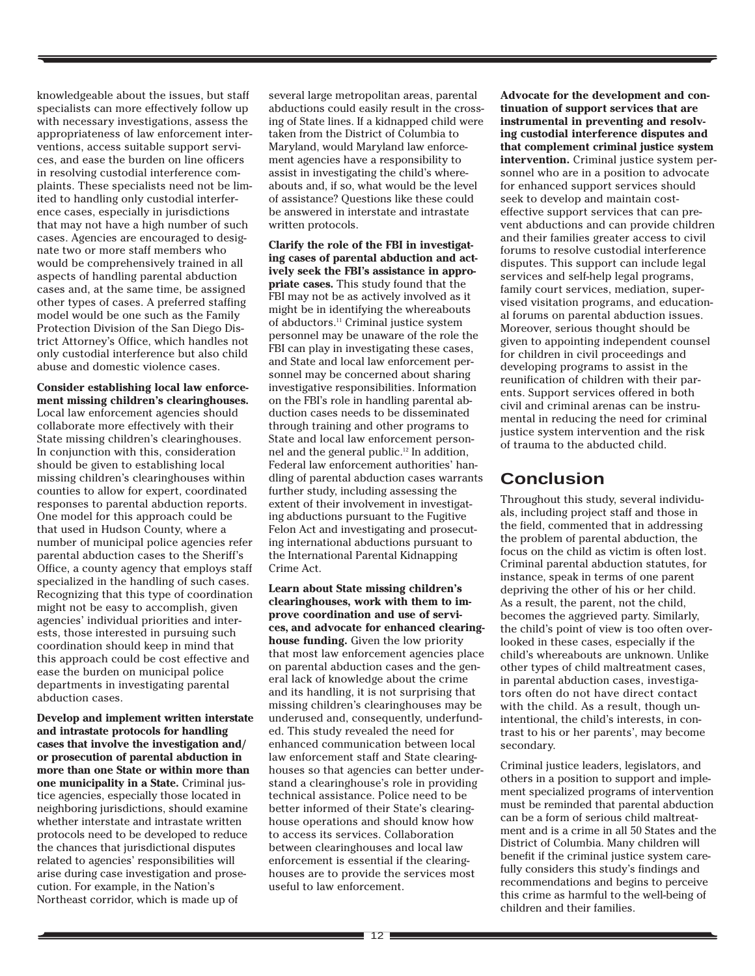knowledgeable about the issues, but staff specialists can more effectively follow up with necessary investigations, assess the appropriateness of law enforcement interventions, access suitable support services, and ease the burden on line officers in resolving custodial interference complaints. These specialists need not be limited to handling only custodial interference cases, especially in jurisdictions that may not have a high number of such cases. Agencies are encouraged to designate two or more staff members who would be comprehensively trained in all aspects of handling parental abduction cases and, at the same time, be assigned other types of cases. A preferred staffing model would be one such as the Family Protection Division of the San Diego District Attorney's Office, which handles not only custodial interference but also child abuse and domestic violence cases.

**Consider establishing local law enforcement missing children's clearinghouses.** Local law enforcement agencies should collaborate more effectively with their State missing children's clearinghouses. In conjunction with this, consideration should be given to establishing local missing children's clearinghouses within counties to allow for expert, coordinated responses to parental abduction reports. One model for this approach could be that used in Hudson County, where a number of municipal police agencies refer parental abduction cases to the Sheriff's Office, a county agency that employs staff specialized in the handling of such cases. Recognizing that this type of coordination might not be easy to accomplish, given agencies' individual priorities and interests, those interested in pursuing such coordination should keep in mind that this approach could be cost effective and ease the burden on municipal police departments in investigating parental abduction cases.

**Develop and implement written interstate and intrastate protocols for handling cases that involve the investigation and/ or prosecution of parental abduction in more than one State or within more than one municipality in a State.** Criminal justice agencies, especially those located in neighboring jurisdictions, should examine whether interstate and intrastate written protocols need to be developed to reduce the chances that jurisdictional disputes related to agencies' responsibilities will arise during case investigation and prosecution. For example, in the Nation's Northeast corridor, which is made up of

several large metropolitan areas, parental abductions could easily result in the crossing of State lines. If a kidnapped child were taken from the District of Columbia to Maryland, would Maryland law enforcement agencies have a responsibility to assist in investigating the child's whereabouts and, if so, what would be the level of assistance? Questions like these could be answered in interstate and intrastate written protocols.

**Clarify the role of the FBI in investigating cases of parental abduction and actively seek the FBI's assistance in appropriate cases.** This study found that the FBI may not be as actively involved as it might be in identifying the whereabouts of abductors.11 Criminal justice system personnel may be unaware of the role the FBI can play in investigating these cases, and State and local law enforcement personnel may be concerned about sharing investigative responsibilities. Information on the FBI's role in handling parental abduction cases needs to be disseminated through training and other programs to State and local law enforcement personnel and the general public.12 In addition, Federal law enforcement authorities' handling of parental abduction cases warrants further study, including assessing the extent of their involvement in investigating abductions pursuant to the Fugitive Felon Act and investigating and prosecuting international abductions pursuant to the International Parental Kidnapping Crime Act.

**Learn about State missing children's clearinghouses, work with them to improve coordination and use of services, and advocate for enhanced clearinghouse funding.** Given the low priority that most law enforcement agencies place on parental abduction cases and the general lack of knowledge about the crime and its handling, it is not surprising that missing children's clearinghouses may be underused and, consequently, underfunded. This study revealed the need for enhanced communication between local law enforcement staff and State clearinghouses so that agencies can better understand a clearinghouse's role in providing technical assistance. Police need to be better informed of their State's clearinghouse operations and should know how to access its services. Collaboration between clearinghouses and local law enforcement is essential if the clearinghouses are to provide the services most useful to law enforcement.

**Advocate for the development and continuation of support services that are instrumental in preventing and resolving custodial interference disputes and that complement criminal justice system intervention.** Criminal justice system personnel who are in a position to advocate for enhanced support services should seek to develop and maintain costeffective support services that can prevent abductions and can provide children and their families greater access to civil forums to resolve custodial interference disputes. This support can include legal services and self-help legal programs, family court services, mediation, supervised visitation programs, and educational forums on parental abduction issues. Moreover, serious thought should be given to appointing independent counsel for children in civil proceedings and developing programs to assist in the reunification of children with their parents. Support services offered in both civil and criminal arenas can be instrumental in reducing the need for criminal justice system intervention and the risk of trauma to the abducted child.

# **Conclusion**

Throughout this study, several individuals, including project staff and those in the field, commented that in addressing the problem of parental abduction, the focus on the child as victim is often lost. Criminal parental abduction statutes, for instance, speak in terms of one parent depriving the other of his or her child. As a result, the parent, not the child, becomes the aggrieved party. Similarly, the child's point of view is too often overlooked in these cases, especially if the child's whereabouts are unknown. Unlike other types of child maltreatment cases, in parental abduction cases, investigators often do not have direct contact with the child. As a result, though unintentional, the child's interests, in contrast to his or her parents', may become secondary.

Criminal justice leaders, legislators, and others in a position to support and implement specialized programs of intervention must be reminded that parental abduction can be a form of serious child maltreatment and is a crime in all 50 States and the District of Columbia. Many children will benefit if the criminal justice system carefully considers this study's findings and recommendations and begins to perceive this crime as harmful to the well-being of children and their families.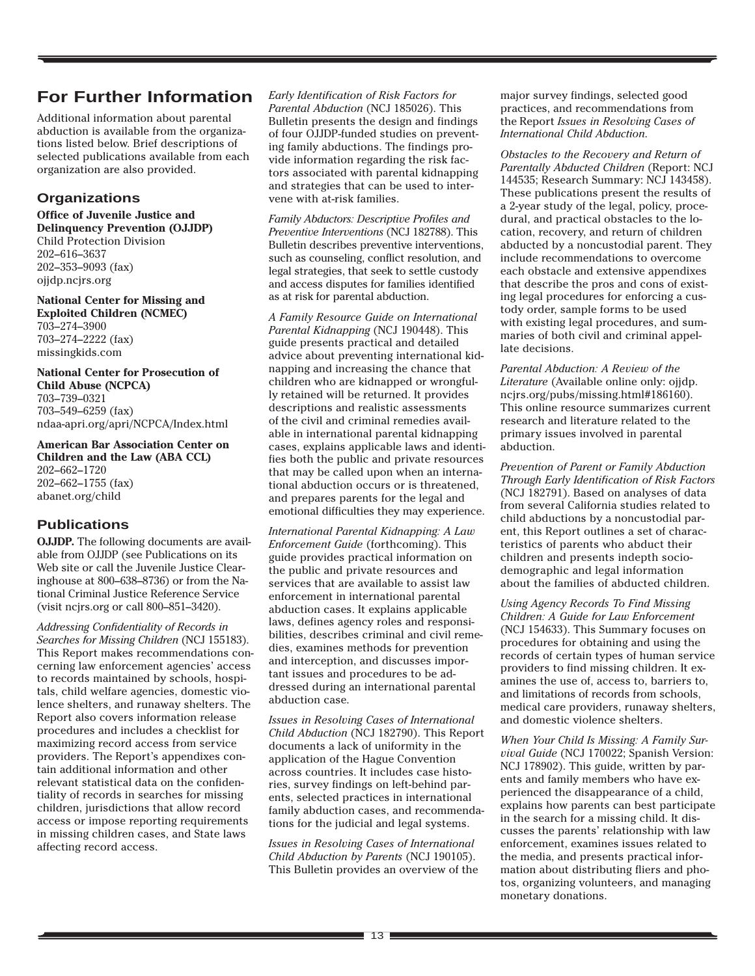# **For Further Information**

Additional information about parental abduction is available from the organizations listed below. Brief descriptions of selected publications available from each organization are also provided.

#### **Organizations**

**Office of Juvenile Justice and Delinquency Prevention (OJJDP)** Child Protection Division 202–616–3637 202–353–9093 (fax) ojjdp.ncjrs.org

**National Center for Missing and Exploited Children (NCMEC)** 703–274–3900 703–274–2222 (fax) missingkids.com

**National Center for Prosecution of Child Abuse (NCPCA)** 703–739–0321 703–549–6259 (fax) ndaa-apri.org/apri/NCPCA/Index.html

**American Bar Association Center on Children and the Law (ABA CCL)** 202–662–1720 202–662–1755 (fax) abanet.org/child

# **Publications**

**OJJDP.** The following documents are available from OJJDP (see Publications on its Web site or call the Juvenile Justice Clearinghouse at 800–638–8736) or from the National Criminal Justice Reference Service (visit ncjrs.org or call 800–851–3420).

*Addressing Confidentiality of Records in Searches for Missing Children* (NCJ 155183). This Report makes recommendations concerning law enforcement agencies' access to records maintained by schools, hospitals, child welfare agencies, domestic violence shelters, and runaway shelters. The Report also covers information release procedures and includes a checklist for maximizing record access from service providers. The Report's appendixes contain additional information and other relevant statistical data on the confidentiality of records in searches for missing children, jurisdictions that allow record access or impose reporting requirements in missing children cases, and State laws affecting record access.

*Early Identification of Risk Factors for Parental Abduction* (NCJ 185026). This Bulletin presents the design and findings of four OJJDP-funded studies on preventing family abductions. The findings provide information regarding the risk factors associated with parental kidnapping and strategies that can be used to intervene with at-risk families.

*Family Abductors: Descriptive Profiles and Preventive Interventions* (NCJ 182788). This Bulletin describes preventive interventions, such as counseling, conflict resolution, and legal strategies, that seek to settle custody and access disputes for families identified as at risk for parental abduction.

*A Family Resource Guide on International Parental Kidnapping* (NCJ 190448). This guide presents practical and detailed advice about preventing international kidnapping and increasing the chance that children who are kidnapped or wrongfully retained will be returned. It provides descriptions and realistic assessments of the civil and criminal remedies available in international parental kidnapping cases, explains applicable laws and identifies both the public and private resources that may be called upon when an international abduction occurs or is threatened, and prepares parents for the legal and emotional difficulties they may experience.

*International Parental Kidnapping: A Law Enforcement Guide* (forthcoming). This guide provides practical information on the public and private resources and services that are available to assist law enforcement in international parental abduction cases. It explains applicable laws, defines agency roles and responsibilities, describes criminal and civil remedies, examines methods for prevention and interception, and discusses important issues and procedures to be addressed during an international parental abduction case.

*Issues in Resolving Cases of International Child Abduction* (NCJ 182790). This Report documents a lack of uniformity in the application of the Hague Convention across countries. It includes case histories, survey findings on left-behind parents, selected practices in international family abduction cases, and recommendations for the judicial and legal systems.

*Issues in Resolving Cases of International Child Abduction by Parents* (NCJ 190105). This Bulletin provides an overview of the major survey findings, selected good practices, and recommendations from the Report *Issues in Resolving Cases of International Child Abduction*.

*Obstacles to the Recovery and Return of Parentally Abducted Children* (Report: NCJ 144535; Research Summary: NCJ 143458). These publications present the results of a 2-year study of the legal, policy, procedural, and practical obstacles to the location, recovery, and return of children abducted by a noncustodial parent. They include recommendations to overcome each obstacle and extensive appendixes that describe the pros and cons of existing legal procedures for enforcing a custody order, sample forms to be used with existing legal procedures, and summaries of both civil and criminal appellate decisions.

*Parental Abduction: A Review of the Literature* (Available online only: ojjdp. ncjrs.org/pubs/missing.html#186160). This online resource summarizes current research and literature related to the primary issues involved in parental abduction.

*Prevention of Parent or Family Abduction Through Early Identification of Risk Factors* (NCJ 182791). Based on analyses of data from several California studies related to child abductions by a noncustodial parent, this Report outlines a set of characteristics of parents who abduct their children and presents indepth sociodemographic and legal information about the families of abducted children.

*Using Agency Records To Find Missing Children: A Guide for Law Enforcement* (NCJ 154633). This Summary focuses on procedures for obtaining and using the records of certain types of human service providers to find missing children. It examines the use of, access to, barriers to, and limitations of records from schools, medical care providers, runaway shelters, and domestic violence shelters.

*When Your Child Is Missing: A Family Survival Guide* (NCJ 170022; Spanish Version: NCJ 178902). This guide, written by parents and family members who have experienced the disappearance of a child, explains how parents can best participate in the search for a missing child. It discusses the parents' relationship with law enforcement, examines issues related to the media, and presents practical information about distributing fliers and photos, organizing volunteers, and managing monetary donations.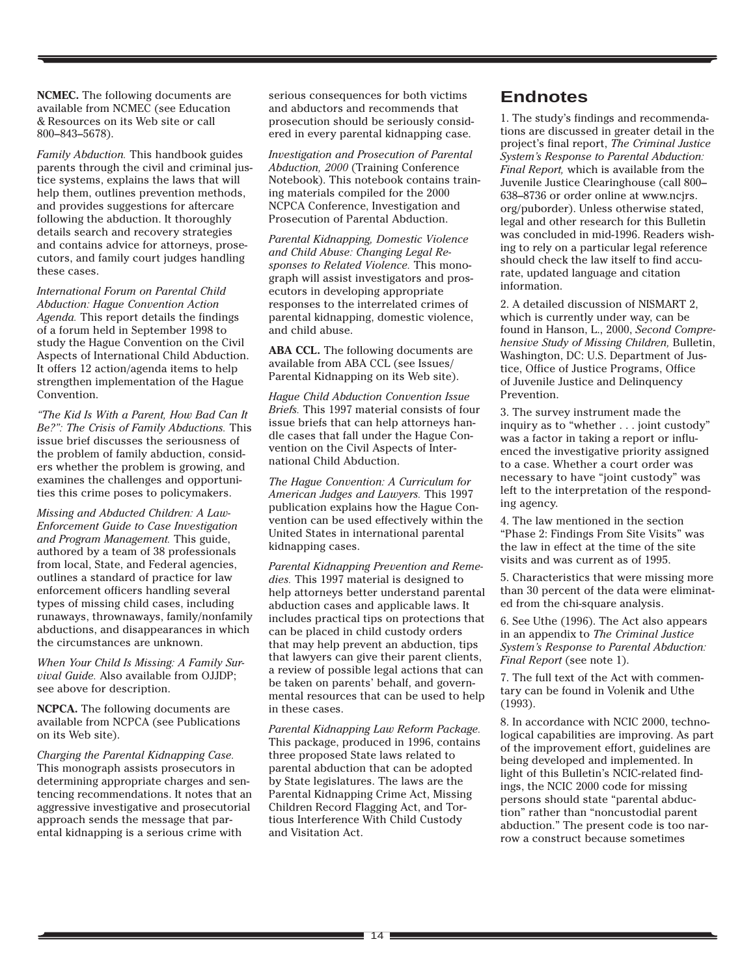**NCMEC.** The following documents are available from NCMEC (see Education & Resources on its Web site or call 800–843–5678).

*Family Abduction.* This handbook guides parents through the civil and criminal justice systems, explains the laws that will help them, outlines prevention methods, and provides suggestions for aftercare following the abduction. It thoroughly details search and recovery strategies and contains advice for attorneys, prosecutors, and family court judges handling these cases.

*International Forum on Parental Child Abduction: Hague Convention Action Agenda.* This report details the findings of a forum held in September 1998 to study the Hague Convention on the Civil Aspects of International Child Abduction. It offers 12 action/agenda items to help strengthen implementation of the Hague Convention.

*"The Kid Is With a Parent, How Bad Can It Be?": The Crisis of Family Abductions.* This issue brief discusses the seriousness of the problem of family abduction, considers whether the problem is growing, and examines the challenges and opportunities this crime poses to policymakers.

*Missing and Abducted Children: A Law-Enforcement Guide to Case Investigation and Program Management.* This guide, authored by a team of 38 professionals from local, State, and Federal agencies, outlines a standard of practice for law enforcement officers handling several types of missing child cases, including runaways, thrownaways, family/nonfamily abductions, and disappearances in which the circumstances are unknown.

*When Your Child Is Missing: A Family Survival Guide.* Also available from OJJDP; see above for description.

**NCPCA.** The following documents are available from NCPCA (see Publications on its Web site).

*Charging the Parental Kidnapping Case.* This monograph assists prosecutors in determining appropriate charges and sentencing recommendations. It notes that an aggressive investigative and prosecutorial approach sends the message that parental kidnapping is a serious crime with

serious consequences for both victims and abductors and recommends that prosecution should be seriously considered in every parental kidnapping case.

*Investigation and Prosecution of Parental Abduction, 2000* (Training Conference Notebook). This notebook contains training materials compiled for the 2000 NCPCA Conference, Investigation and Prosecution of Parental Abduction.

*Parental Kidnapping, Domestic Violence and Child Abuse: Changing Legal Responses to Related Violence.* This monograph will assist investigators and prosecutors in developing appropriate responses to the interrelated crimes of parental kidnapping, domestic violence, and child abuse.

**ABA CCL.** The following documents are available from ABA CCL (see Issues/ Parental Kidnapping on its Web site).

*Hague Child Abduction Convention Issue Briefs.* This 1997 material consists of four issue briefs that can help attorneys handle cases that fall under the Hague Convention on the Civil Aspects of International Child Abduction.

*The Hague Convention: A Curriculum for American Judges and Lawyers.* This 1997 publication explains how the Hague Convention can be used effectively within the United States in international parental kidnapping cases.

*Parental Kidnapping Prevention and Remedies.* This 1997 material is designed to help attorneys better understand parental abduction cases and applicable laws. It includes practical tips on protections that can be placed in child custody orders that may help prevent an abduction, tips that lawyers can give their parent clients, a review of possible legal actions that can be taken on parents' behalf, and governmental resources that can be used to help in these cases.

*Parental Kidnapping Law Reform Package.* This package, produced in 1996, contains three proposed State laws related to parental abduction that can be adopted by State legislatures. The laws are the Parental Kidnapping Crime Act, Missing Children Record Flagging Act, and Tortious Interference With Child Custody and Visitation Act.

# **Endnotes**

1. The study's findings and recommendations are discussed in greater detail in the project's final report, *The Criminal Justice System's Response to Parental Abduction: Final Report,* which is available from the Juvenile Justice Clearinghouse (call 800– 638–8736 or order online at www.ncjrs. org/puborder). Unless otherwise stated, legal and other research for this Bulletin was concluded in mid-1996. Readers wishing to rely on a particular legal reference should check the law itself to find accurate, updated language and citation information.

2. A detailed discussion of NISMART 2, which is currently under way, can be found in Hanson, L., 2000, *Second Comprehensive Study of Missing Children,* Bulletin, Washington, DC: U.S. Department of Justice, Office of Justice Programs, Office of Juvenile Justice and Delinquency Prevention.

3. The survey instrument made the inquiry as to "whether . . . joint custody" was a factor in taking a report or influenced the investigative priority assigned to a case. Whether a court order was necessary to have "joint custody" was left to the interpretation of the responding agency.

4. The law mentioned in the section "Phase 2: Findings From Site Visits" was the law in effect at the time of the site visits and was current as of 1995.

5. Characteristics that were missing more than 30 percent of the data were eliminated from the chi-square analysis.

6. See Uthe (1996). The Act also appears in an appendix to *The Criminal Justice System's Response to Parental Abduction: Final Report* (see note 1).

7. The full text of the Act with commentary can be found in Volenik and Uthe (1993).

8. In accordance with NCIC 2000, technological capabilities are improving. As part of the improvement effort, guidelines are being developed and implemented. In light of this Bulletin's NCIC-related findings, the NCIC 2000 code for missing persons should state "parental abduction" rather than "noncustodial parent abduction." The present code is too narrow a construct because sometimes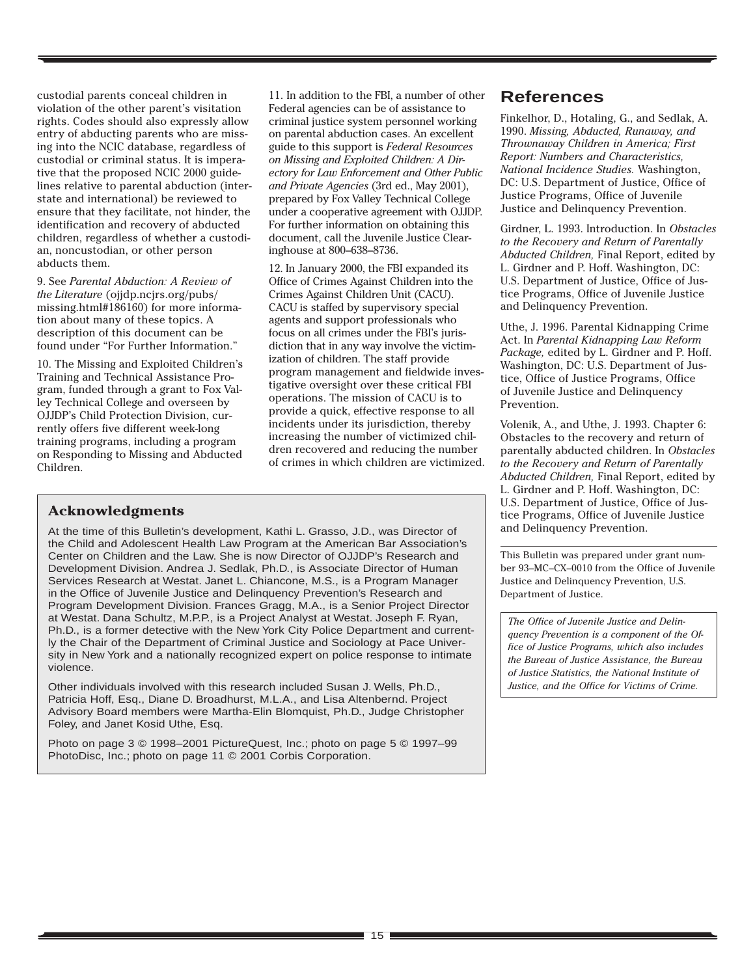custodial parents conceal children in violation of the other parent's visitation rights. Codes should also expressly allow entry of abducting parents who are missing into the NCIC database, regardless of custodial or criminal status. It is imperative that the proposed NCIC 2000 guidelines relative to parental abduction (interstate and international) be reviewed to ensure that they facilitate, not hinder, the identification and recovery of abducted children, regardless of whether a custodian, noncustodian, or other person abducts them.

9. See *Parental Abduction: A Review of the Literature* (ojjdp.ncjrs.org/pubs/ missing.html#186160) for more information about many of these topics. A description of this document can be found under "For Further Information."

10. The Missing and Exploited Children's Training and Technical Assistance Program, funded through a grant to Fox Valley Technical College and overseen by OJJDP's Child Protection Division, currently offers five different week-long training programs, including a program on Responding to Missing and Abducted Children.

11. In addition to the FBI, a number of other Federal agencies can be of assistance to criminal justice system personnel working on parental abduction cases. An excellent guide to this support is *Federal Resources on Missing and Exploited Children: A Directory for Law Enforcement and Other Public and Private Agencies* (3rd ed., May 2001), prepared by Fox Valley Technical College under a cooperative agreement with OJJDP. For further information on obtaining this document, call the Juvenile Justice Clearinghouse at 800–638–8736.

12. In January 2000, the FBI expanded its Office of Crimes Against Children into the Crimes Against Children Unit (CACU). CACU is staffed by supervisory special agents and support professionals who focus on all crimes under the FBI's jurisdiction that in any way involve the victimization of children. The staff provide program management and fieldwide investigative oversight over these critical FBI operations. The mission of CACU is to provide a quick, effective response to all incidents under its jurisdiction, thereby increasing the number of victimized children recovered and reducing the number of crimes in which children are victimized.

# **Acknowledgments**

At the time of this Bulletin's development, Kathi L. Grasso, J.D., was Director of the Child and Adolescent Health Law Program at the American Bar Association's Center on Children and the Law. She is now Director of OJJDP's Research and Development Division. Andrea J. Sedlak, Ph.D., is Associate Director of Human Services Research at Westat. Janet L. Chiancone, M.S., is a Program Manager in the Office of Juvenile Justice and Delinquency Prevention's Research and Program Development Division. Frances Gragg, M.A., is a Senior Project Director at Westat. Dana Schultz, M.P.P., is a Project Analyst at Westat. Joseph F. Ryan, Ph.D., is a former detective with the New York City Police Department and currently the Chair of the Department of Criminal Justice and Sociology at Pace University in New York and a nationally recognized expert on police response to intimate violence.

Other individuals involved with this research included Susan J. Wells, Ph.D., Patricia Hoff, Esq., Diane D. Broadhurst, M.L.A., and Lisa Altenbernd. Project Advisory Board members were Martha-Elin Blomquist, Ph.D., Judge Christopher Foley, and Janet Kosid Uthe, Esq.

Photo on page 3 © 1998–2001 PictureQuest, Inc.; photo on page 5 © 1997–99 PhotoDisc, Inc.; photo on page 11 © 2001 Corbis Corporation.

# **References**

Finkelhor, D., Hotaling, G., and Sedlak, A. 1990. *Missing, Abducted, Runaway, and Thrownaway Children in America; First Report: Numbers and Characteristics, National Incidence Studies.* Washington, DC: U.S. Department of Justice, Office of Justice Programs, Office of Juvenile Justice and Delinquency Prevention.

Girdner, L. 1993. Introduction. In *Obstacles to the Recovery and Return of Parentally Abducted Children,* Final Report, edited by L. Girdner and P. Hoff. Washington, DC: U.S. Department of Justice, Office of Justice Programs, Office of Juvenile Justice and Delinquency Prevention.

Uthe, J. 1996. Parental Kidnapping Crime Act. In *Parental Kidnapping Law Reform Package,* edited by L. Girdner and P. Hoff. Washington, DC: U.S. Department of Justice, Office of Justice Programs, Office of Juvenile Justice and Delinquency Prevention.

Volenik, A., and Uthe, J. 1993. Chapter 6: Obstacles to the recovery and return of parentally abducted children. In *Obstacles to the Recovery and Return of Parentally Abducted Children,* Final Report, edited by L. Girdner and P. Hoff. Washington, DC: U.S. Department of Justice, Office of Justice Programs, Office of Juvenile Justice and Delinquency Prevention.

This Bulletin was prepared under grant number 93–MC–CX–0010 from the Office of Juvenile Justice and Delinquency Prevention, U.S. Department of Justice.

*The Office of Juvenile Justice and Delinquency Prevention is a component of the Office of Justice Programs, which also includes the Bureau of Justice Assistance, the Bureau of Justice Statistics, the National Institute of Justice, and the Office for Victims of Crime.*